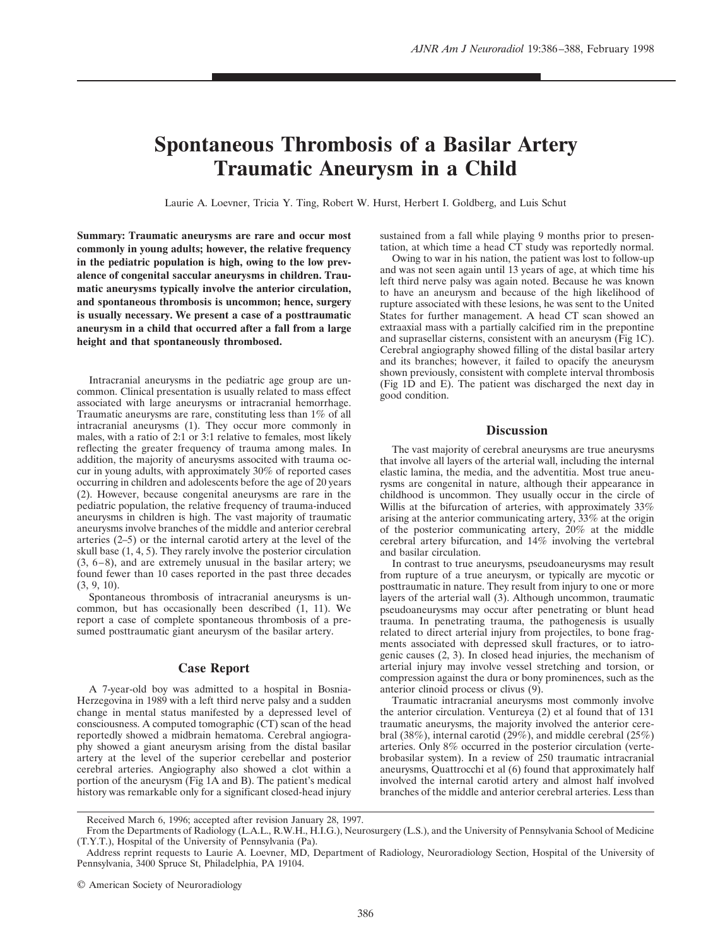## **Spontaneous Thrombosis of a Basilar Artery Traumatic Aneurysm in a Child**

Laurie A. Loevner, Tricia Y. Ting, Robert W. Hurst, Herbert I. Goldberg, and Luis Schut

**Summary: Traumatic aneurysms are rare and occur most commonly in young adults; however, the relative frequency in the pediatric population is high, owing to the low prevalence of congenital saccular aneurysms in children. Traumatic aneurysms typically involve the anterior circulation, and spontaneous thrombosis is uncommon; hence, surgery is usually necessary. We present a case of a posttraumatic aneurysm in a child that occurred after a fall from a large height and that spontaneously thrombosed.**

Intracranial aneurysms in the pediatric age group are uncommon. Clinical presentation is usually related to mass effect associated with large aneurysms or intracranial hemorrhage. Traumatic aneurysms are rare, constituting less than 1% of all intracranial aneurysms (1). They occur more commonly in males, with a ratio of 2:1 or 3:1 relative to females, most likely reflecting the greater frequency of trauma among males. In addition, the majority of aneurysms associted with trauma occur in young adults, with approximately 30% of reported cases occurring in children and adolescents before the age of 20 years (2). However, because congenital aneurysms are rare in the pediatric population, the relative frequency of trauma-induced aneurysms in children is high. The vast majority of traumatic aneurysms involve branches of the middle and anterior cerebral arteries (2–5) or the internal carotid artery at the level of the skull base (1, 4, 5). They rarely involve the posterior circulation (3, 6–8), and are extremely unusual in the basilar artery; we found fewer than 10 cases reported in the past three decades (3, 9, 10).

Spontaneous thrombosis of intracranial aneurysms is uncommon, but has occasionally been described (1, 11). We report a case of complete spontaneous thrombosis of a presumed posttraumatic giant aneurysm of the basilar artery.

## **Case Report**

A 7-year-old boy was admitted to a hospital in Bosnia-Herzegovina in 1989 with a left third nerve palsy and a sudden change in mental status manifested by a depressed level of consciousness. A computed tomographic (CT) scan of the head reportedly showed a midbrain hematoma. Cerebral angiography showed a giant aneurysm arising from the distal basilar artery at the level of the superior cerebellar and posterior cerebral arteries. Angiography also showed a clot within a portion of the aneurysm (Fig 1A and B). The patient's medical history was remarkable only for a significant closed-head injury sustained from a fall while playing 9 months prior to presentation, at which time a head CT study was reportedly normal.

Owing to war in his nation, the patient was lost to follow-up and was not seen again until 13 years of age, at which time his left third nerve palsy was again noted. Because he was known to have an aneurysm and because of the high likelihood of rupture associated with these lesions, he was sent to the United States for further management. A head CT scan showed an extraaxial mass with a partially calcified rim in the prepontine and suprasellar cisterns, consistent with an aneurysm (Fig 1C). Cerebral angiography showed filling of the distal basilar artery and its branches; however, it failed to opacify the aneurysm shown previously, consistent with complete interval thrombosis (Fig 1D and E). The patient was discharged the next day in good condition.

## **Discussion**

The vast majority of cerebral aneurysms are true aneurysms that involve all layers of the arterial wall, including the internal elastic lamina, the media, and the adventitia. Most true aneurysms are congenital in nature, although their appearance in childhood is uncommon. They usually occur in the circle of Willis at the bifurcation of arteries, with approximately 33% arising at the anterior communicating artery, 33% at the origin of the posterior communicating artery, 20% at the middle cerebral artery bifurcation, and 14% involving the vertebral and basilar circulation.

In contrast to true aneurysms, pseudoaneurysms may result from rupture of a true aneurysm, or typically are mycotic or posttraumatic in nature. They result from injury to one or more layers of the arterial wall (3). Although uncommon, traumatic pseudoaneurysms may occur after penetrating or blunt head trauma. In penetrating trauma, the pathogenesis is usually related to direct arterial injury from projectiles, to bone fragments associated with depressed skull fractures, or to iatrogenic causes (2, 3). In closed head injuries, the mechanism of arterial injury may involve vessel stretching and torsion, or compression against the dura or bony prominences, such as the anterior clinoid process or clivus (9).

Traumatic intracranial aneurysms most commonly involve the anterior circulation. Ventureya (2) et al found that of 131 traumatic aneurysms, the majority involved the anterior cerebral (38%), internal carotid (29%), and middle cerebral (25%) arteries. Only 8% occurred in the posterior circulation (vertebrobasilar system). In a review of 250 traumatic intracranial aneurysms, Quattrocchi et al (6) found that approximately half involved the internal carotid artery and almost half involved branches of the middle and anterior cerebral arteries. Less than

Received March 6, 1996; accepted after revision January 28, 1997.

From the Departments of Radiology (L.A.L., R.W.H., H.I.G.), Neurosurgery (L.S.), and the University of Pennsylvania School of Medicine (T.Y.T.), Hospital of the University of Pennsylvania (Pa).

Address reprint requests to Laurie A. Loevner, MD, Department of Radiology, Neuroradiology Section, Hospital of the University of Pennsylvania, 3400 Spruce St, Philadelphia, PA 19104.

<sup>©</sup> American Society of Neuroradiology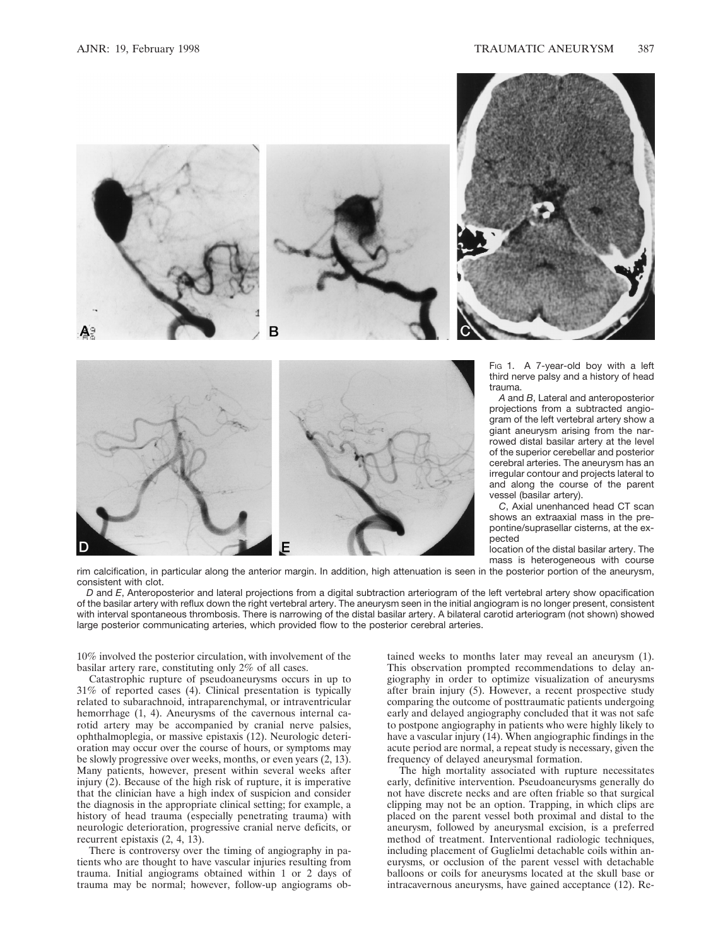

FIG 1. A 7-year-old boy with a left third nerve palsy and a history of head trauma.

*A* and *B*, Lateral and anteroposterior projections from a subtracted angiogram of the left vertebral artery show a giant aneurysm arising from the narrowed distal basilar artery at the level of the superior cerebellar and posterior cerebral arteries. The aneurysm has an irregular contour and projects lateral to and along the course of the parent vessel (basilar artery).

*C*, Axial unenhanced head CT scan shows an extraaxial mass in the prepontine/suprasellar cisterns, at the expected

location of the distal basilar artery. The mass is heterogeneous with course

rim calcification, in particular along the anterior margin. In addition, high attenuation is seen in the posterior portion of the aneurysm, consistent with clot.

*D* and *E*, Anteroposterior and lateral projections from a digital subtraction arteriogram of the left vertebral artery show opacification of the basilar artery with reflux down the right vertebral artery. The aneurysm seen in the initial angiogram is no longer present, consistent with interval spontaneous thrombosis. There is narrowing of the distal basilar artery. A bilateral carotid arteriogram (not shown) showed large posterior communicating arteries, which provided flow to the posterior cerebral arteries.

10% involved the posterior circulation, with involvement of the basilar artery rare, constituting only 2% of all cases.

Catastrophic rupture of pseudoaneurysms occurs in up to 31% of reported cases (4). Clinical presentation is typically related to subarachnoid, intraparenchymal, or intraventricular hemorrhage (1, 4). Aneurysms of the cavernous internal carotid artery may be accompanied by cranial nerve palsies, ophthalmoplegia, or massive epistaxis (12). Neurologic deterioration may occur over the course of hours, or symptoms may be slowly progressive over weeks, months, or even years (2, 13). Many patients, however, present within several weeks after injury  $(2)$ . Because of the high risk of rupture, it is imperative that the clinician have a high index of suspicion and consider the diagnosis in the appropriate clinical setting; for example, a history of head trauma (especially penetrating trauma) with neurologic deterioration, progressive cranial nerve deficits, or recurrent epistaxis (2, 4, 13).

There is controversy over the timing of angiography in patients who are thought to have vascular injuries resulting from trauma. Initial angiograms obtained within 1 or 2 days of trauma may be normal; however, follow-up angiograms obtained weeks to months later may reveal an aneurysm (1). This observation prompted recommendations to delay angiography in order to optimize visualization of aneurysms after brain injury (5). However, a recent prospective study comparing the outcome of posttraumatic patients undergoing early and delayed angiography concluded that it was not safe to postpone angiography in patients who were highly likely to have a vascular injury (14). When angiographic findings in the acute period are normal, a repeat study is necessary, given the frequency of delayed aneurysmal formation.

The high mortality associated with rupture necessitates early, definitive intervention. Pseudoaneurysms generally do not have discrete necks and are often friable so that surgical clipping may not be an option. Trapping, in which clips are placed on the parent vessel both proximal and distal to the aneurysm, followed by aneurysmal excision, is a preferred method of treatment. Interventional radiologic techniques, including placement of Guglielmi detachable coils within aneurysms, or occlusion of the parent vessel with detachable balloons or coils for aneurysms located at the skull base or intracavernous aneurysms, have gained acceptance (12). Re